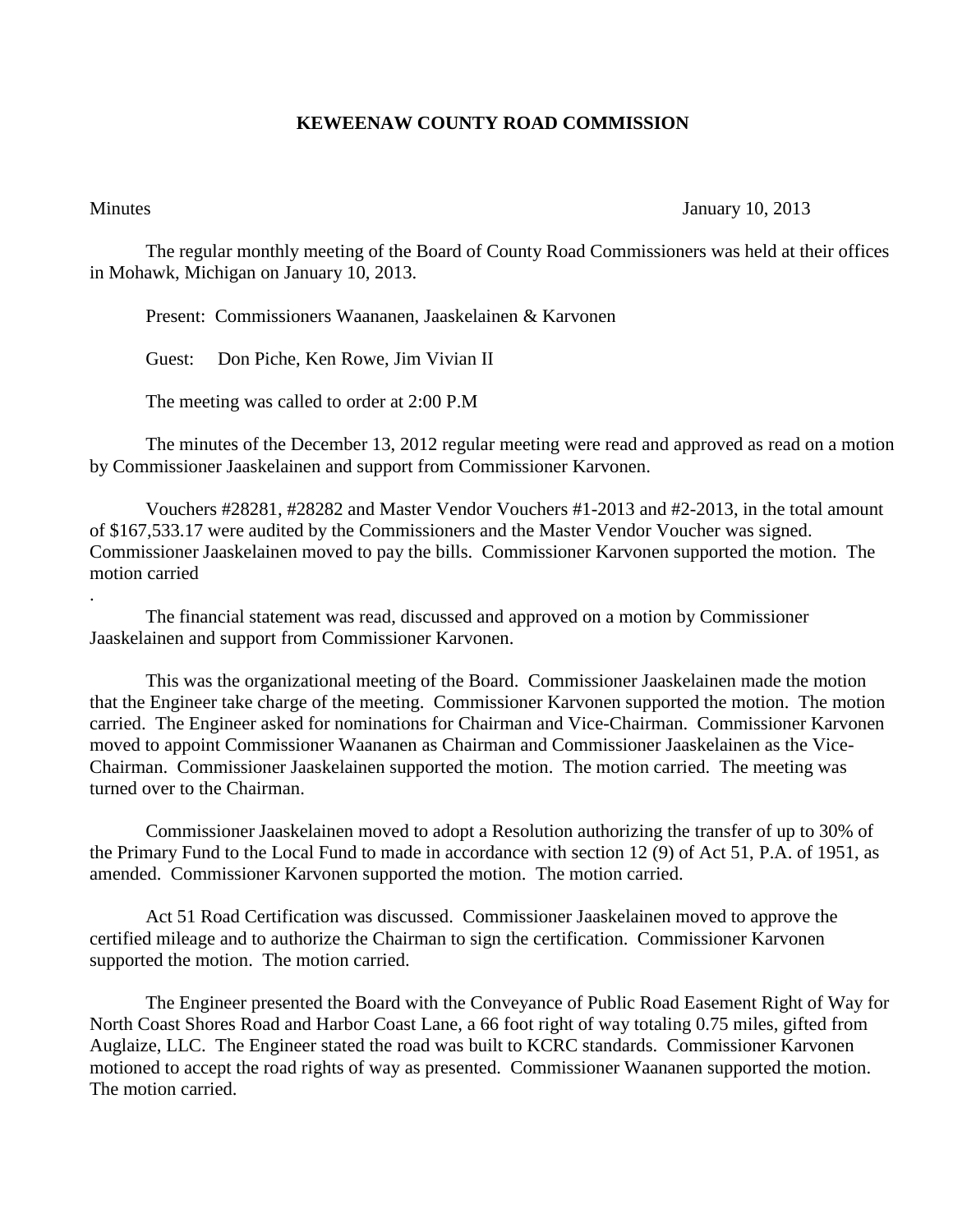## **KEWEENAW COUNTY ROAD COMMISSION**

.

## Minutes January 10, 2013

The regular monthly meeting of the Board of County Road Commissioners was held at their offices in Mohawk, Michigan on January 10, 2013.

Present: Commissioners Waananen, Jaaskelainen & Karvonen

Guest: Don Piche, Ken Rowe, Jim Vivian II

The meeting was called to order at 2:00 P.M

The minutes of the December 13, 2012 regular meeting were read and approved as read on a motion by Commissioner Jaaskelainen and support from Commissioner Karvonen.

Vouchers #28281, #28282 and Master Vendor Vouchers #1-2013 and #2-2013, in the total amount of \$167,533.17 were audited by the Commissioners and the Master Vendor Voucher was signed. Commissioner Jaaskelainen moved to pay the bills. Commissioner Karvonen supported the motion. The motion carried

The financial statement was read, discussed and approved on a motion by Commissioner Jaaskelainen and support from Commissioner Karvonen.

This was the organizational meeting of the Board. Commissioner Jaaskelainen made the motion that the Engineer take charge of the meeting. Commissioner Karvonen supported the motion. The motion carried. The Engineer asked for nominations for Chairman and Vice-Chairman. Commissioner Karvonen moved to appoint Commissioner Waananen as Chairman and Commissioner Jaaskelainen as the Vice-Chairman. Commissioner Jaaskelainen supported the motion. The motion carried. The meeting was turned over to the Chairman.

Commissioner Jaaskelainen moved to adopt a Resolution authorizing the transfer of up to 30% of the Primary Fund to the Local Fund to made in accordance with section 12 (9) of Act 51, P.A. of 1951, as amended. Commissioner Karvonen supported the motion. The motion carried.

Act 51 Road Certification was discussed. Commissioner Jaaskelainen moved to approve the certified mileage and to authorize the Chairman to sign the certification. Commissioner Karvonen supported the motion. The motion carried.

The Engineer presented the Board with the Conveyance of Public Road Easement Right of Way for North Coast Shores Road and Harbor Coast Lane, a 66 foot right of way totaling 0.75 miles, gifted from Auglaize, LLC. The Engineer stated the road was built to KCRC standards. Commissioner Karvonen motioned to accept the road rights of way as presented. Commissioner Waananen supported the motion. The motion carried.